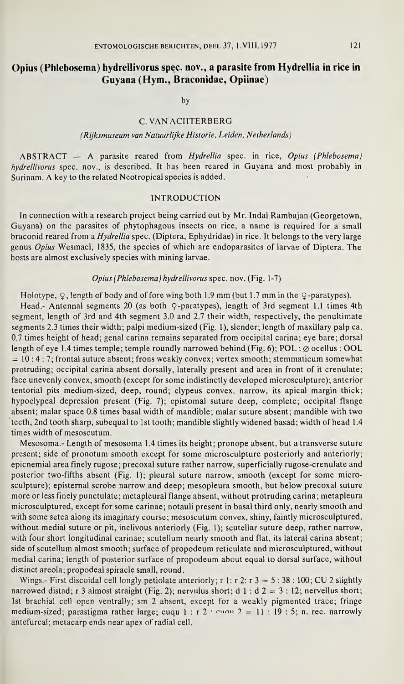# Opius (Phlebosema) hydrellivorus spec, nov., a parasite from Hydrellia in rice in Guyana (Hym., Braconidae, Opiinae)

by

## C. VAN ACHTERBERG

#### (Rijksmuseum van Natuurlijke Historie, Leiden, Netherlands)

ABSTRACT — A parasite reared from Hydrellia spec, in rice, Opius (Phlebosema) hydrellivorus spec, nov., is described. It has been reared in Guyana and most probably in Surinam. A key to the related Neotropical species is added.

### INTRODUCTION

In connection with a research project being carried out by Mr. Indal Rambajan (Georgetown, Guyana) on the parasites of phytophagous insects on rice, a name is required for a small braconid reared from a Hydrellia spec. (Diptera, Ephydridae) in rice. It belongs to the very large genus Opius Wesmael, 1835, the species of which are endoparasites of larvae of Diptera. The hosts are almost exclusively species with mining larvae.

#### Opius (Phlebosema) hydrellivorus spec. nov. (Fig. 1-7)

Holotype,  $\varphi$ , length of body and of fore wing both 1.9 mm (but 1.7 mm in the  $\varphi$ -paratypes).

Head.- Antennal segments 20 (as both Q-paratypes), length of 3rd segment 1.1 times 4th segment, length of 3rd and 4th segment 3.0 and 2.7 their width, respectively, the penultimate segments 2.3 times their width; palpi medium-sized (Fig. 1), slender; length of maxillary palp ca. 0.7 times height of head; genal carina remains separated from occipital carina; eye bare; dorsal length of eye 1.4 times temple; temple roundly narrowed behind (Fig. 6); POL :  $\emptyset$  ocellus : OOL  $= 10 : 4 : 7$ ; frontal suture absent; frons weakly convex; vertex smooth; stemmaticum somewhat protruding; occipital carina absent dorsally, laterally present and area in front of it crenulate; face unevenly convex, smooth (except for some indistinctly developed microsculpture); anterior tentorial pits medium-sized, deep, round; clypeus convex, narrow, its apical margin thick; hypoclypeal depression present (Fig. 7); epistomal suture deep, complete; occipital flange absent; malar space 0.8 times basal width of mandible; malar suture absent; mandible with two teeth, 2nd tooth sharp, subequal to 1st tooth; mandible slightly widened basad; width of head 1.4 times width of mesoscutum.

Mesosoma.- Length of mesosoma 1.4 times its height; pronope absent, but a transverse suture present; side of pronotum smooth except for some microsculpture posteriorly and anteriorly; epicnemial area finely rugose; precoxal suture rather narrow, superficially rugose-crenulate and posterior two-fifths absent (Fig. 1); pleural suture narrow, smooth (except for some microsculpture); episternal scrobe narrow and deep; mesopleura smooth, but below precoxal suture more or less finely punctulate; metapleural flange absent, without protruding carina; metapleura microsculptured, except for some carinae; notauli present in basal third only, nearly smooth and with some setea along its imaginary course; mesoscutum convex, shiny, faintly microsculptured, without medial suture or pit, inclivous anteriorly (Fig. 1); scutellar suture deep, rather narrow, with four short longitudinal carinae; scutellum nearly smooth and flat, its lateral carina absent; side of scutellum almost smooth; surface of propodeum reticulate and microsculptured, without medial carina; length of posterior surface of propodeum about equal to dorsal surface, without distinct areola; propodeal spiracle small, round.

Wings.- First discoidal cell longly petiolate anteriorly; r 1: r 2: r  $3 = 5 : 38 : 100$ ; CU 2 slightly narrowed distad; r 3 almost straight (Fig. 2); nervulus short; d 1 : d  $2 = 3$  : 12; nervellus short; 1st brachial cell open ventrally; sm 2 absent, except for a weakly pigmented trace; fringe medium-sized; parastigma rather large; cuqu 1 : r 2 ·  $\text{cm}$   $\alpha$  2 = 11 : 19 : 5; n. rec. narrowly antefurcal; metacarp ends near apex of radial cell.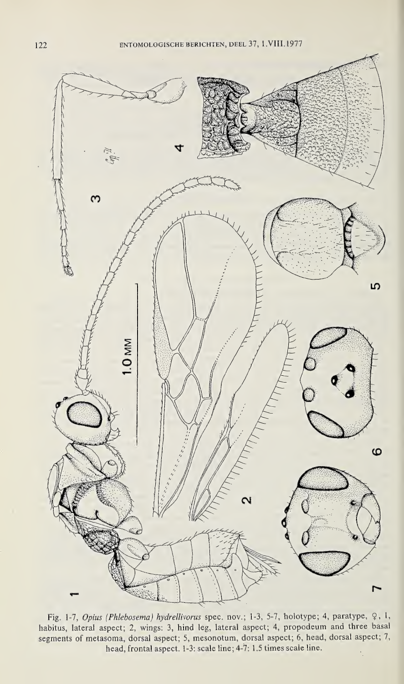

Fig. 1-7, Opius (Phlebosema) hydrellivorus spec. nov.; 1-3, 5-7, holotype; 4, paratype, 9, 1, habitus, lateral aspect; 2, wings: 3, hind leg, lateral aspect; 4, propodeum and three basal segments of metasoma, dorsal aspect; 5, mesonotum, dorsal aspect; 6, head, dorsal aspect; 7, head, frontal aspect. 1-3: scale line; 4-7: 1.5 times scale line. $\ddot{\phantom{0}}$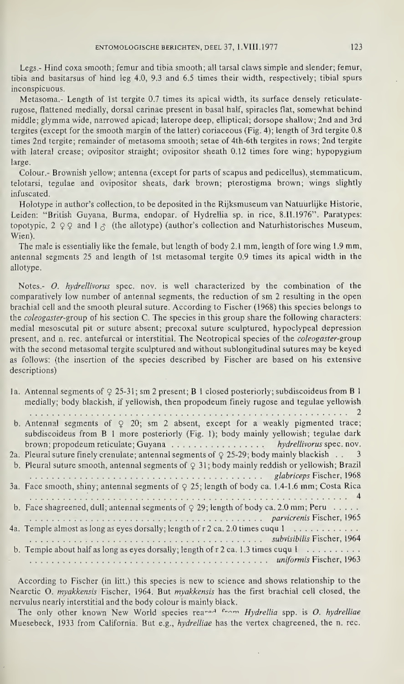Legs.- Hind coxa smooth; femur and tibia smooth; all tarsal claws simple and slender; femur, tibia and basitarsus of hind leg 4.0, 9.3 and 6.5 times their width, respectively; tibial spurs inconspicuous.

Metasoma.- Length of 1st tergite 0.7 times its apical width, its surface densely reticulaterugose, flattened medially, dorsal earinae present in basal half, spiracles flat, somewhat behind middle; giymma wide, narrowed apicad; laterope deep, elliptical; dorsope shallow; 2nd and 3rd tergites (except for the smooth margin of the latter) coriaceous (Fig. 4); length of 3rd tergite 0.8 times 2nd tergite; remainder of metasoma smooth; setae of 4th-6th tergites in rows; 2nd tergite with lateral crease; ovipositor straight; ovipositor sheath 0.12 times fore wing; hypopygium large.

Colour.- Brownish yellow; antenna (except for parts of scapus and pedicellus), stemmaticum, telotarsi, tegulae and ovipositor sheats, dark brown; pterostigma brown; wings slightly infuscated.

Holotype in author's collection, to be deposited in the Rijksmuseum van Natuurlijke Historie, Leiden: "British Guyana, Burma, endopar. of Hydrellia sp. in rice, 8.11.1976". Paratypes: topotypic, 2  $\circ$  2  $\circ$  and 1  $\circ$  (the allotype) (author's collection and Naturhistorisches Museum, Wien).

The male is essentially like the female, but length of body 2.1 mm, length of fore wing 1.9 mm, antennal segments 25 and length of 1st metasomal tergite 0.9 times its apical width in the allotype.

Notes.- O. hydrellivorus spec. nov. is well characterized by the combination of the comparatively low number of antennal segments, the reduction of sm 2 resulting in the open brachial cell and the smooth pleural suture. According to Fischer (1968) this species belongs to the coleogaster-group of his section C. The species in this group share the following characters: medial mesoscutal pit or suture absent; precoxal suture sculptured, hypoclypeal depression present, and n. rec. antefurcal or interstitial. The Neotropical species of the coleogaster-group with the second metasomal tergite sculptured and without sublongitudinal sutures may be keyed as follows: (the insertion of the species described by Fischer are based on his extensive descriptions)

| 1a. Antennal segments of $\varphi$ 25-31; sm 2 present; B 1 closed posteriorly; subdiscoideus from B 1 |
|--------------------------------------------------------------------------------------------------------|
| medially; body blackish, if yellowish, then propodeum finely rugose and tegulae yellowish              |
|                                                                                                        |
| b. Antennal segments of $\varphi$ 20; sm 2 absent, except for a weakly pigmented trace;                |
| subdiscoideus from B 1 more posteriorly (Fig. 1); body mainly yellowish; tegulae dark                  |
| brown; propodeum reticulate; Guyana hydrellivorus spec. nov.                                           |
| 2a. Pleural suture finely crenulate; antennal segments of $\varphi$ 25-29; body mainly blackish 3      |
| b. Pleural suture smooth, antennal segments of $\varphi$ 31; body mainly reddish or yellowish; Brazil  |
|                                                                                                        |
| 3a. Face smooth, shiny; antennal segments of $\varphi$ 25; length of body ca. 1.4-1.6 mm; Costa Rica   |
|                                                                                                        |
| b. Face shagreened, dull; antennal segments of $\varphi$ 29; length of body ca. 2.0 mm; Peru           |
|                                                                                                        |
| 4a. Temple almost as long as eyes dorsally; length of $r$ 2 ca. 2.0 times cuqu 1                       |
|                                                                                                        |
| b. Temple about half as long as eyes dorsally; length of $r$ 2 ca. 1.3 times cuqu 1                    |
|                                                                                                        |

According to Fischer (in litt.) this species is new to science and shows relationship to the Nearctic O. myakkensis Fischer, 1964. But myakkensis has the first brachial cell closed, the nervulus nearly interstitial and the body colour is mainly black.

The only other known New World species reanged from Hydrellia spp, is O. hydrelliae Muesebeck, 1933 from California. But e.g., hydrelliae has the vertex chagreened, the n. rec.